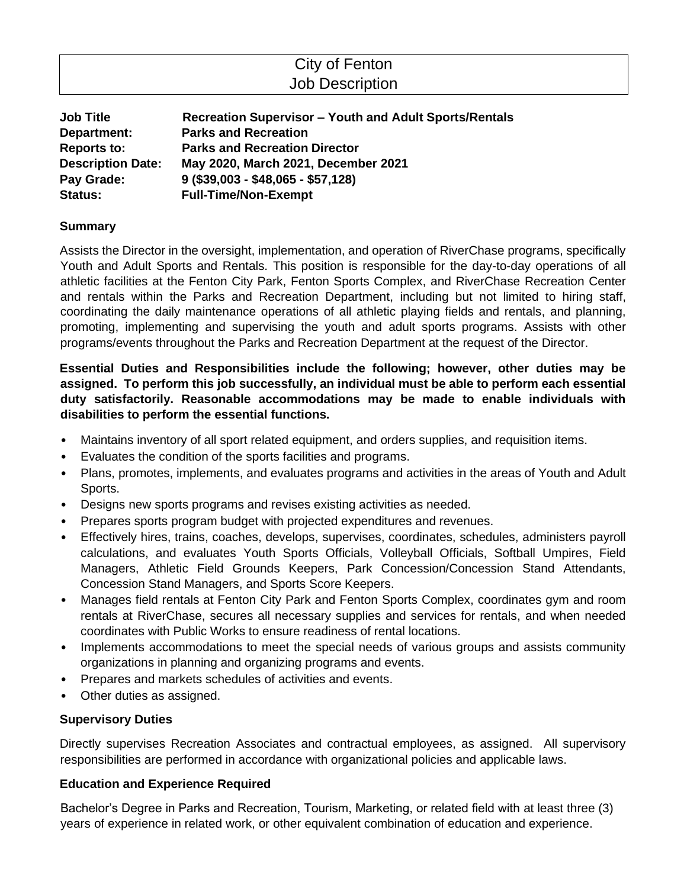# City of Fenton Job Description

| <b>Job Title</b>         | <b>Recreation Supervisor - Youth and Adult Sports/Rentals</b> |
|--------------------------|---------------------------------------------------------------|
| Department:              | <b>Parks and Recreation</b>                                   |
| <b>Reports to:</b>       | <b>Parks and Recreation Director</b>                          |
| <b>Description Date:</b> | May 2020, March 2021, December 2021                           |
| Pay Grade:               | $9$ (\$39,003 - \$48,065 - \$57,128)                          |
| <b>Status:</b>           | <b>Full-Time/Non-Exempt</b>                                   |

## **Summary**

Assists the Director in the oversight, implementation, and operation of RiverChase programs, specifically Youth and Adult Sports and Rentals. This position is responsible for the day-to-day operations of all athletic facilities at the Fenton City Park, Fenton Sports Complex, and RiverChase Recreation Center and rentals within the Parks and Recreation Department, including but not limited to hiring staff, coordinating the daily maintenance operations of all athletic playing fields and rentals, and planning, promoting, implementing and supervising the youth and adult sports programs. Assists with other programs/events throughout the Parks and Recreation Department at the request of the Director.

**Essential Duties and Responsibilities include the following; however, other duties may be assigned. To perform this job successfully, an individual must be able to perform each essential duty satisfactorily. Reasonable accommodations may be made to enable individuals with disabilities to perform the essential functions.** 

- Maintains inventory of all sport related equipment, and orders supplies, and requisition items.
- Evaluates the condition of the sports facilities and programs.
- Plans, promotes, implements, and evaluates programs and activities in the areas of Youth and Adult Sports.
- Designs new sports programs and revises existing activities as needed.
- Prepares sports program budget with projected expenditures and revenues.
- Effectively hires, trains, coaches, develops, supervises, coordinates, schedules, administers payroll calculations, and evaluates Youth Sports Officials, Volleyball Officials, Softball Umpires, Field Managers, Athletic Field Grounds Keepers, Park Concession/Concession Stand Attendants, Concession Stand Managers, and Sports Score Keepers.
- Manages field rentals at Fenton City Park and Fenton Sports Complex, coordinates gym and room rentals at RiverChase, secures all necessary supplies and services for rentals, and when needed coordinates with Public Works to ensure readiness of rental locations.
- Implements accommodations to meet the special needs of various groups and assists community organizations in planning and organizing programs and events.
- Prepares and markets schedules of activities and events.
- Other duties as assigned.

## **Supervisory Duties**

Directly supervises Recreation Associates and contractual employees, as assigned. All supervisory responsibilities are performed in accordance with organizational policies and applicable laws.

## **Education and Experience Required**

Bachelor's Degree in Parks and Recreation, Tourism, Marketing, or related field with at least three (3) years of experience in related work, or other equivalent combination of education and experience.